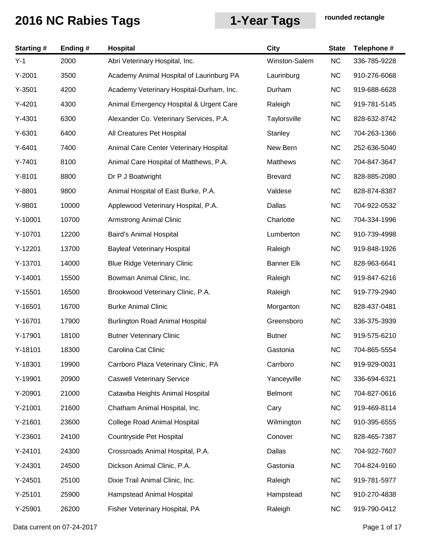| <b>Starting#</b> | Ending # | <b>Hospital</b>                          | <b>City</b>       | <b>State</b> | Telephone #  |
|------------------|----------|------------------------------------------|-------------------|--------------|--------------|
| $Y-1$            | 2000     | Abri Veterinary Hospital, Inc.           | Winston-Salem     | <b>NC</b>    | 336-785-9228 |
| $Y-2001$         | 3500     | Academy Animal Hospital of Laurinburg PA | Laurinburg        | <b>NC</b>    | 910-276-6068 |
| $Y-3501$         | 4200     | Academy Veterinary Hospital-Durham, Inc. | Durham            | <b>NC</b>    | 919-688-6628 |
| $Y-4201$         | 4300     | Animal Emergency Hospital & Urgent Care  | Raleigh           | <b>NC</b>    | 919-781-5145 |
| $Y-4301$         | 6300     | Alexander Co. Veterinary Services, P.A.  | Taylorsville      | <b>NC</b>    | 828-632-8742 |
| Y-6301           | 6400     | All Creatures Pet Hospital               | Stanley           | <b>NC</b>    | 704-263-1366 |
| $Y-6401$         | 7400     | Animal Care Center Veterinary Hospital   | New Bern          | <b>NC</b>    | 252-636-5040 |
| $Y - 7401$       | 8100     | Animal Care Hospital of Matthews, P.A.   | Matthews          | <b>NC</b>    | 704-847-3647 |
| $Y-8101$         | 8800     | Dr P J Boatwright                        | <b>Brevard</b>    | <b>NC</b>    | 828-885-2080 |
| Y-8801           | 9800     | Animal Hospital of East Burke, P.A.      | Valdese           | <b>NC</b>    | 828-874-8387 |
| Y-9801           | 10000    | Applewood Veterinary Hospital, P.A.      | Dallas            | <b>NC</b>    | 704-922-0532 |
| Y-10001          | 10700    | <b>Armstrong Animal Clinic</b>           | Charlotte         | <b>NC</b>    | 704-334-1996 |
| Y-10701          | 12200    | Baird's Animal Hospital                  | Lumberton         | <b>NC</b>    | 910-739-4998 |
| Y-12201          | 13700    | <b>Bayleaf Veterinary Hospital</b>       | Raleigh           | <b>NC</b>    | 919-848-1926 |
| Y-13701          | 14000    | <b>Blue Ridge Veterinary Clinic</b>      | <b>Banner Elk</b> | <b>NC</b>    | 828-963-6641 |
| $Y-14001$        | 15500    | Bowman Animal Clinic, Inc.               | Raleigh           | <b>NC</b>    | 919-847-6216 |
| $Y-15501$        | 16500    | Brookwood Veterinary Clinic, P.A.        | Raleigh           | <b>NC</b>    | 919-779-2940 |
| $Y-16501$        | 16700    | <b>Burke Animal Clinic</b>               | Morganton         | <b>NC</b>    | 828-437-0481 |
| Y-16701          | 17900    | <b>Burlington Road Animal Hospital</b>   | Greensboro        | <b>NC</b>    | 336-375-3939 |
| Y-17901          | 18100    | <b>Butner Veterinary Clinic</b>          | <b>Butner</b>     | <b>NC</b>    | 919-575-6210 |
| Y-18101          | 18300    | Carolina Cat Clinic                      | Gastonia          | <b>NC</b>    | 704-865-5554 |
| Y-18301          | 19900    | Carrboro Plaza Veterinary Clinic, PA     | Carrboro          | <b>NC</b>    | 919-929-0031 |
| Y-19901          | 20900    | <b>Caswell Veterinary Service</b>        | Yanceyville       | <b>NC</b>    | 336-694-6321 |
| Y-20901          | 21000    | Catawba Heights Animal Hospital          | <b>Belmont</b>    | <b>NC</b>    | 704-827-0616 |
| Y-21001          | 21600    | Chatham Animal Hospital, Inc.            | Cary              | <b>NC</b>    | 919-469-8114 |
| Y-21601          | 23600    | <b>College Road Animal Hospital</b>      | Wilmington        | <b>NC</b>    | 910-395-6555 |
| Y-23601          | 24100    | Countryside Pet Hospital                 | Conover           | <b>NC</b>    | 828-465-7387 |
| Y-24101          | 24300    | Crossroads Animal Hospital, P.A.         | Dallas            | <b>NC</b>    | 704-922-7607 |
| Y-24301          | 24500    | Dickson Animal Clinic, P.A.              | Gastonia          | <b>NC</b>    | 704-824-9160 |
| $Y-24501$        | 25100    | Dixie Trail Animal Clinic, Inc.          | Raleigh           | <b>NC</b>    | 919-781-5977 |
| Y-25101          | 25900    | Hampstead Animal Hospital                | Hampstead         | <b>NC</b>    | 910-270-4838 |
| Y-25901          | 26200    | Fisher Veterinary Hospital, PA           | Raleigh           | <b>NC</b>    | 919-790-0412 |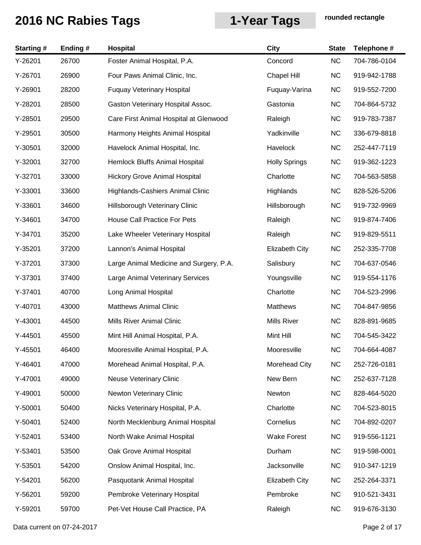| <b>Starting#</b> | Ending# | Hospital                                | <b>City</b>           | <b>State</b> | Telephone #  |
|------------------|---------|-----------------------------------------|-----------------------|--------------|--------------|
| Y-26201          | 26700   | Foster Animal Hospital, P.A.            | Concord               | <b>NC</b>    | 704-786-0104 |
| Y-26701          | 26900   | Four Paws Animal Clinic, Inc.           | <b>Chapel Hill</b>    | <b>NC</b>    | 919-942-1788 |
| Y-26901          | 28200   | <b>Fuquay Veterinary Hospital</b>       | Fuquay-Varina         | <b>NC</b>    | 919-552-7200 |
| Y-28201          | 28500   | Gaston Veterinary Hospital Assoc.       | Gastonia              | <b>NC</b>    | 704-864-5732 |
| Y-28501          | 29500   | Care First Animal Hospital at Glenwood  | Raleigh               | <b>NC</b>    | 919-783-7387 |
| Y-29501          | 30500   | Harmony Heights Animal Hospital         | Yadkinville           | <b>NC</b>    | 336-679-8818 |
| Y-30501          | 32000   | Havelock Animal Hospital, Inc.          | Havelock              | <b>NC</b>    | 252-447-7119 |
| Y-32001          | 32700   | Hemlock Bluffs Animal Hospital          | <b>Holly Springs</b>  | <b>NC</b>    | 919-362-1223 |
| Y-32701          | 33000   | <b>Hickory Grove Animal Hospital</b>    | Charlotte             | <b>NC</b>    | 704-563-5858 |
| Y-33001          | 33600   | Highlands-Cashiers Animal Clinic        | Highlands             | <b>NC</b>    | 828-526-5206 |
| Y-33601          | 34600   | Hillsborough Veterinary Clinic          | Hillsborough          | <b>NC</b>    | 919-732-9969 |
| Y-34601          | 34700   | <b>House Call Practice For Pets</b>     | Raleigh               | <b>NC</b>    | 919-874-7406 |
| Y-34701          | 35200   | Lake Wheeler Veterinary Hospital        | Raleigh               | <b>NC</b>    | 919-829-5511 |
| Y-35201          | 37200   | Lannon's Animal Hospital                | <b>Elizabeth City</b> | <b>NC</b>    | 252-335-7708 |
| Y-37201          | 37300   | Large Animal Medicine and Surgery, P.A. | Salisbury             | <b>NC</b>    | 704-637-0546 |
| Y-37301          | 37400   | Large Animal Veterinary Services        | Youngsville           | <b>NC</b>    | 919-554-1176 |
| Y-37401          | 40700   | Long Animal Hospital                    | Charlotte             | <b>NC</b>    | 704-523-2996 |
| Y-40701          | 43000   | <b>Matthews Animal Clinic</b>           | <b>Matthews</b>       | <b>NC</b>    | 704-847-9856 |
| Y-43001          | 44500   | Mills River Animal Clinic               | <b>Mills River</b>    | <b>NC</b>    | 828-891-9685 |
| $Y-44501$        | 45500   | Mint Hill Animal Hospital, P.A.         | Mint Hill             | <b>NC</b>    | 704-545-3422 |
| Y-45501          | 46400   | Mooresville Animal Hospital, P.A.       | Mooresville           | <b>NC</b>    | 704-664-4087 |
| $Y-46401$        | 47000   | Morehead Animal Hospital, P.A.          | Morehead City         | <b>NC</b>    | 252-726-0181 |
| Y-47001          | 49000   | Neuse Veterinary Clinic                 | New Bern              | <b>NC</b>    | 252-637-7128 |
| Y-49001          | 50000   | <b>Newton Veterinary Clinic</b>         | Newton                | <b>NC</b>    | 828-464-5020 |
| Y-50001          | 50400   | Nicks Veterinary Hospital, P.A.         | Charlotte             | <b>NC</b>    | 704-523-8015 |
| $Y-50401$        | 52400   | North Mecklenburg Animal Hospital       | Cornelius             | <b>NC</b>    | 704-892-0207 |
| Y-52401          | 53400   | North Wake Animal Hospital              | <b>Wake Forest</b>    | <b>NC</b>    | 919-556-1121 |
| Y-53401          | 53500   | Oak Grove Animal Hospital               | Durham                | <b>NC</b>    | 919-598-0001 |
| Y-53501          | 54200   | Onslow Animal Hospital, Inc.            | Jacksonville          | <b>NC</b>    | 910-347-1219 |
| Y-54201          | 56200   | Pasquotank Animal Hospital              | Elizabeth City        | <b>NC</b>    | 252-264-3371 |
| Y-56201          | 59200   | Pembroke Veterinary Hospital            | Pembroke              | <b>NC</b>    | 910-521-3431 |
| Y-59201          | 59700   | Pet-Vet House Call Practice, PA         | Raleigh               | <b>NC</b>    | 919-676-3130 |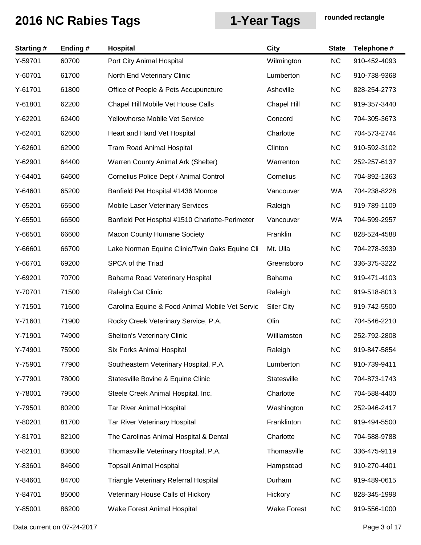| <b>Starting#</b> | Ending# | Hospital                                        | <b>City</b>        | <b>State</b> | Telephone #  |
|------------------|---------|-------------------------------------------------|--------------------|--------------|--------------|
| Y-59701          | 60700   | Port City Animal Hospital                       | Wilmington         | <b>NC</b>    | 910-452-4093 |
| Y-60701          | 61700   | North End Veterinary Clinic                     | Lumberton          | <b>NC</b>    | 910-738-9368 |
| Y-61701          | 61800   | Office of People & Pets Accupuncture            | Asheville          | <b>NC</b>    | 828-254-2773 |
| Y-61801          | 62200   | Chapel Hill Mobile Vet House Calls              | Chapel Hill        | <b>NC</b>    | 919-357-3440 |
| Y-62201          | 62400   | Yellowhorse Mobile Vet Service                  | Concord            | <b>NC</b>    | 704-305-3673 |
| Y-62401          | 62600   | Heart and Hand Vet Hospital                     | Charlotte          | <b>NC</b>    | 704-573-2744 |
| Y-62601          | 62900   | <b>Tram Road Animal Hospital</b>                | Clinton            | <b>NC</b>    | 910-592-3102 |
| Y-62901          | 64400   | Warren County Animal Ark (Shelter)              | Warrenton          | <b>NC</b>    | 252-257-6137 |
| Y-64401          | 64600   | Cornelius Police Dept / Animal Control          | Cornelius          | <b>NC</b>    | 704-892-1363 |
| Y-64601          | 65200   | Banfield Pet Hospital #1436 Monroe              | Vancouver          | WA           | 704-238-8228 |
| Y-65201          | 65500   | Mobile Laser Veterinary Services                | Raleigh            | <b>NC</b>    | 919-789-1109 |
| Y-65501          | 66500   | Banfield Pet Hospital #1510 Charlotte-Perimeter | Vancouver          | WA           | 704-599-2957 |
| Y-66501          | 66600   | <b>Macon County Humane Society</b>              | Franklin           | <b>NC</b>    | 828-524-4588 |
| Y-66601          | 66700   | Lake Norman Equine Clinic/Twin Oaks Equine Cli  | Mt. Ulla           | <b>NC</b>    | 704-278-3939 |
| Y-66701          | 69200   | SPCA of the Triad                               | Greensboro         | <b>NC</b>    | 336-375-3222 |
| Y-69201          | 70700   | Bahama Road Veterinary Hospital                 | Bahama             | <b>NC</b>    | 919-471-4103 |
| Y-70701          | 71500   | Raleigh Cat Clinic                              | Raleigh            | <b>NC</b>    | 919-518-8013 |
| Y-71501          | 71600   | Carolina Equine & Food Animal Mobile Vet Servic | <b>Siler City</b>  | <b>NC</b>    | 919-742-5500 |
| Y-71601          | 71900   | Rocky Creek Veterinary Service, P.A.            | Olin               | <b>NC</b>    | 704-546-2210 |
| Y-71901          | 74900   | Shelton's Veterinary Clinic                     | Williamston        | <b>NC</b>    | 252-792-2808 |
| Y-74901          | 75900   | Six Forks Animal Hospital                       | Raleigh            | <b>NC</b>    | 919-847-5854 |
| Y-75901          | 77900   | Southeastern Veterinary Hospital, P.A.          | Lumberton          | <b>NC</b>    | 910-739-9411 |
| Y-77901          | 78000   | Statesville Bovine & Equine Clinic              | Statesville        | <b>NC</b>    | 704-873-1743 |
| Y-78001          | 79500   | Steele Creek Animal Hospital, Inc.              | Charlotte          | <b>NC</b>    | 704-588-4400 |
| Y-79501          | 80200   | <b>Tar River Animal Hospital</b>                | Washington         | <b>NC</b>    | 252-946-2417 |
| Y-80201          | 81700   | <b>Tar River Veterinary Hospital</b>            | Franklinton        | <b>NC</b>    | 919-494-5500 |
| Y-81701          | 82100   | The Carolinas Animal Hospital & Dental          | Charlotte          | <b>NC</b>    | 704-588-9788 |
| Y-82101          | 83600   | Thomasville Veterinary Hospital, P.A.           | Thomasville        | <b>NC</b>    | 336-475-9119 |
| Y-83601          | 84600   | <b>Topsail Animal Hospital</b>                  | Hampstead          | <b>NC</b>    | 910-270-4401 |
| Y-84601          | 84700   | Triangle Veterinary Referral Hospital           | Durham             | <b>NC</b>    | 919-489-0615 |
| Y-84701          | 85000   | Veterinary House Calls of Hickory               | Hickory            | <b>NC</b>    | 828-345-1998 |
| Y-85001          | 86200   | Wake Forest Animal Hospital                     | <b>Wake Forest</b> | <b>NC</b>    | 919-556-1000 |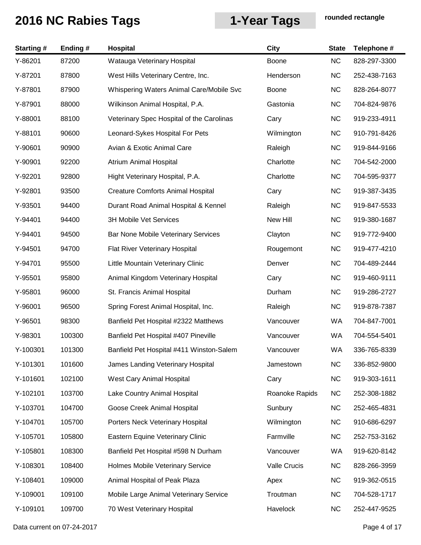| <b>Starting#</b> | Ending# | <b>Hospital</b>                           | <b>City</b>    | <b>State</b> | Telephone #  |
|------------------|---------|-------------------------------------------|----------------|--------------|--------------|
| Y-86201          | 87200   | Watauga Veterinary Hospital               | <b>Boone</b>   | <b>NC</b>    | 828-297-3300 |
| Y-87201          | 87800   | West Hills Veterinary Centre, Inc.        | Henderson      | <b>NC</b>    | 252-438-7163 |
| Y-87801          | 87900   | Whispering Waters Animal Care/Mobile Svc  | Boone          | <b>NC</b>    | 828-264-8077 |
| Y-87901          | 88000   | Wilkinson Animal Hospital, P.A.           | Gastonia       | <b>NC</b>    | 704-824-9876 |
| Y-88001          | 88100   | Veterinary Spec Hospital of the Carolinas | Cary           | <b>NC</b>    | 919-233-4911 |
| Y-88101          | 90600   | Leonard-Sykes Hospital For Pets           | Wilmington     | <b>NC</b>    | 910-791-8426 |
| Y-90601          | 90900   | Avian & Exotic Animal Care                | Raleigh        | <b>NC</b>    | 919-844-9166 |
| Y-90901          | 92200   | Atrium Animal Hospital                    | Charlotte      | <b>NC</b>    | 704-542-2000 |
| Y-92201          | 92800   | Hight Veterinary Hospital, P.A.           | Charlotte      | <b>NC</b>    | 704-595-9377 |
| Y-92801          | 93500   | <b>Creature Comforts Animal Hospital</b>  | Cary           | <b>NC</b>    | 919-387-3435 |
| Y-93501          | 94400   | Durant Road Animal Hospital & Kennel      | Raleigh        | <b>NC</b>    | 919-847-5533 |
| Y-94401          | 94400   | 3H Mobile Vet Services                    | New Hill       | <b>NC</b>    | 919-380-1687 |
| Y-94401          | 94500   | Bar None Mobile Veterinary Services       | Clayton        | <b>NC</b>    | 919-772-9400 |
| Y-94501          | 94700   | Flat River Veterinary Hospital            | Rougemont      | <b>NC</b>    | 919-477-4210 |
| Y-94701          | 95500   | Little Mountain Veterinary Clinic         | Denver         | <b>NC</b>    | 704-489-2444 |
| Y-95501          | 95800   | Animal Kingdom Veterinary Hospital        | Cary           | <b>NC</b>    | 919-460-9111 |
| Y-95801          | 96000   | St. Francis Animal Hospital               | Durham         | <b>NC</b>    | 919-286-2727 |
| Y-96001          | 96500   | Spring Forest Animal Hospital, Inc.       | Raleigh        | <b>NC</b>    | 919-878-7387 |
| Y-96501          | 98300   | Banfield Pet Hospital #2322 Matthews      | Vancouver      | WA           | 704-847-7001 |
| Y-98301          | 100300  | Banfield Pet Hospital #407 Pineville      | Vancouver      | WA           | 704-554-5401 |
| Y-100301         | 101300  | Banfield Pet Hospital #411 Winston-Salem  | Vancouver      | WA.          | 336-765-8339 |
| Y-101301         | 101600  | James Landing Veterinary Hospital         | Jamestown      | <b>NC</b>    | 336-852-9800 |
| Y-101601         | 102100  | West Cary Animal Hospital                 | Cary           | <b>NC</b>    | 919-303-1611 |
| Y-102101         | 103700  | Lake Country Animal Hospital              | Roanoke Rapids | <b>NC</b>    | 252-308-1882 |
| Y-103701         | 104700  | Goose Creek Animal Hospital               | Sunbury        | <b>NC</b>    | 252-465-4831 |
| Y-104701         | 105700  | Porters Neck Veterinary Hospital          | Wilmington     | <b>NC</b>    | 910-686-6297 |
| Y-105701         | 105800  | Eastern Equine Veterinary Clinic          | Farmville      | <b>NC</b>    | 252-753-3162 |
| Y-105801         | 108300  | Banfield Pet Hospital #598 N Durham       | Vancouver      | WA           | 919-620-8142 |
| Y-108301         | 108400  | Holmes Mobile Veterinary Service          | Valle Crucis   | <b>NC</b>    | 828-266-3959 |
| Y-108401         | 109000  | Animal Hospital of Peak Plaza             | Apex           | <b>NC</b>    | 919-362-0515 |
| Y-109001         | 109100  | Mobile Large Animal Veterinary Service    | Troutman       | <b>NC</b>    | 704-528-1717 |
| Y-109101         | 109700  | 70 West Veterinary Hospital               | Havelock       | <b>NC</b>    | 252-447-9525 |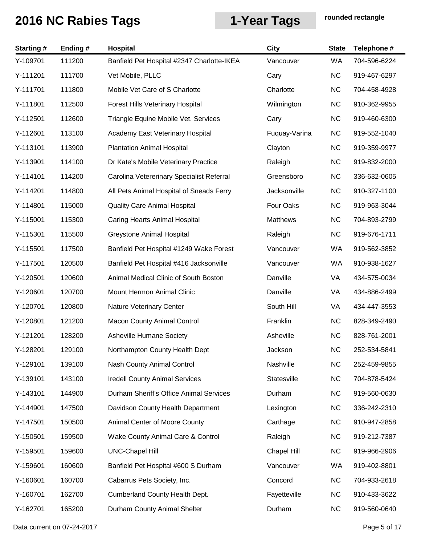| <b>Starting#</b> | Ending# | <b>Hospital</b>                            | <b>City</b>   | <b>State</b> | Telephone #  |
|------------------|---------|--------------------------------------------|---------------|--------------|--------------|
| Y-109701         | 111200  | Banfield Pet Hospital #2347 Charlotte-IKEA | Vancouver     | <b>WA</b>    | 704-596-6224 |
| Y-111201         | 111700  | Vet Mobile, PLLC                           | Cary          | <b>NC</b>    | 919-467-6297 |
| Y-111701         | 111800  | Mobile Vet Care of S Charlotte             | Charlotte     | <b>NC</b>    | 704-458-4928 |
| Y-111801         | 112500  | Forest Hills Veterinary Hospital           | Wilmington    | <b>NC</b>    | 910-362-9955 |
| Y-112501         | 112600  | Triangle Equine Mobile Vet. Services       | Cary          | <b>NC</b>    | 919-460-6300 |
| Y-112601         | 113100  | <b>Academy East Veterinary Hospital</b>    | Fuquay-Varina | <b>NC</b>    | 919-552-1040 |
| Y-113101         | 113900  | <b>Plantation Animal Hospital</b>          | Clayton       | <b>NC</b>    | 919-359-9977 |
| Y-113901         | 114100  | Dr Kate's Mobile Veterinary Practice       | Raleigh       | <b>NC</b>    | 919-832-2000 |
| Y-114101         | 114200  | Carolina Vetererinary Specialist Referral  | Greensboro    | <b>NC</b>    | 336-632-0605 |
| Y-114201         | 114800  | All Pets Animal Hospital of Sneads Ferry   | Jacksonville  | <b>NC</b>    | 910-327-1100 |
| Y-114801         | 115000  | <b>Quality Care Animal Hospital</b>        | Four Oaks     | <b>NC</b>    | 919-963-3044 |
| Y-115001         | 115300  | Caring Hearts Animal Hospital              | Matthews      | <b>NC</b>    | 704-893-2799 |
| Y-115301         | 115500  | <b>Greystone Animal Hospital</b>           | Raleigh       | <b>NC</b>    | 919-676-1711 |
| Y-115501         | 117500  | Banfield Pet Hospital #1249 Wake Forest    | Vancouver     | <b>WA</b>    | 919-562-3852 |
| Y-117501         | 120500  | Banfield Pet Hospital #416 Jacksonville    | Vancouver     | WA           | 910-938-1627 |
| Y-120501         | 120600  | Animal Medical Clinic of South Boston      | Danville      | VA           | 434-575-0034 |
| Y-120601         | 120700  | Mount Hermon Animal Clinic                 | Danville      | VA           | 434-886-2499 |
| Y-120701         | 120800  | <b>Nature Veterinary Center</b>            | South Hill    | VA           | 434-447-3553 |
| Y-120801         | 121200  | <b>Macon County Animal Control</b>         | Franklin      | <b>NC</b>    | 828-349-2490 |
| Y-121201         | 128200  | Asheville Humane Society                   | Asheville     | <b>NC</b>    | 828-761-2001 |
| Y-128201         | 129100  | Northampton County Health Dept             | Jackson       | <b>NC</b>    | 252-534-5841 |
| Y-129101         | 139100  | Nash County Animal Control                 | Nashville     | <b>NC</b>    | 252-459-9855 |
| Y-139101         | 143100  | <b>Iredell County Animal Services</b>      | Statesville   | <b>NC</b>    | 704-878-5424 |
| Y-143101         | 144900  | Durham Sheriff's Office Animal Services    | Durham        | <b>NC</b>    | 919-560-0630 |
| Y-144901         | 147500  | Davidson County Health Department          | Lexington     | <b>NC</b>    | 336-242-2310 |
| Y-147501         | 150500  | Animal Center of Moore County              | Carthage      | <b>NC</b>    | 910-947-2858 |
| Y-150501         | 159500  | Wake County Animal Care & Control          | Raleigh       | <b>NC</b>    | 919-212-7387 |
| Y-159501         | 159600  | <b>UNC-Chapel Hill</b>                     | Chapel Hill   | <b>NC</b>    | 919-966-2906 |
| Y-159601         | 160600  | Banfield Pet Hospital #600 S Durham        | Vancouver     | WA           | 919-402-8801 |
| Y-160601         | 160700  | Cabarrus Pets Society, Inc.                | Concord       | <b>NC</b>    | 704-933-2618 |
| Y-160701         | 162700  | <b>Cumberland County Health Dept.</b>      | Fayetteville  | <b>NC</b>    | 910-433-3622 |
| Y-162701         | 165200  | Durham County Animal Shelter               | Durham        | <b>NC</b>    | 919-560-0640 |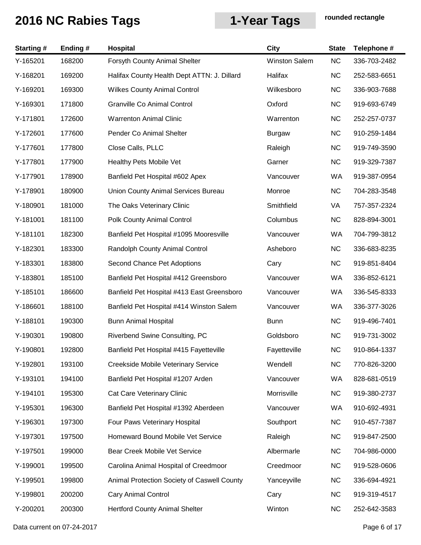| <b>Starting#</b> | Ending# | <b>Hospital</b>                             | <b>City</b>          | <b>State</b> | Telephone #  |
|------------------|---------|---------------------------------------------|----------------------|--------------|--------------|
| Y-165201         | 168200  | Forsyth County Animal Shelter               | <b>Winston Salem</b> | <b>NC</b>    | 336-703-2482 |
| Y-168201         | 169200  | Halifax County Health Dept ATTN: J. Dillard | Halifax              | <b>NC</b>    | 252-583-6651 |
| Y-169201         | 169300  | <b>Wilkes County Animal Control</b>         | Wilkesboro           | <b>NC</b>    | 336-903-7688 |
| Y-169301         | 171800  | <b>Granville Co Animal Control</b>          | Oxford               | <b>NC</b>    | 919-693-6749 |
| Y-171801         | 172600  | <b>Warrenton Animal Clinic</b>              | Warrenton            | <b>NC</b>    | 252-257-0737 |
| Y-172601         | 177600  | Pender Co Animal Shelter                    | <b>Burgaw</b>        | <b>NC</b>    | 910-259-1484 |
| Y-177601         | 177800  | Close Calls, PLLC                           | Raleigh              | <b>NC</b>    | 919-749-3590 |
| Y-177801         | 177900  | Healthy Pets Mobile Vet                     | Garner               | <b>NC</b>    | 919-329-7387 |
| Y-177901         | 178900  | Banfield Pet Hospital #602 Apex             | Vancouver            | <b>WA</b>    | 919-387-0954 |
| Y-178901         | 180900  | Union County Animal Services Bureau         | Monroe               | <b>NC</b>    | 704-283-3548 |
| Y-180901         | 181000  | The Oaks Veterinary Clinic                  | Smithfield           | VA           | 757-357-2324 |
| Y-181001         | 181100  | Polk County Animal Control                  | Columbus             | <b>NC</b>    | 828-894-3001 |
| Y-181101         | 182300  | Banfield Pet Hospital #1095 Mooresville     | Vancouver            | <b>WA</b>    | 704-799-3812 |
| Y-182301         | 183300  | Randolph County Animal Control              | Asheboro             | <b>NC</b>    | 336-683-8235 |
| Y-183301         | 183800  | Second Chance Pet Adoptions                 | Cary                 | <b>NC</b>    | 919-851-8404 |
| Y-183801         | 185100  | Banfield Pet Hospital #412 Greensboro       | Vancouver            | WA           | 336-852-6121 |
| Y-185101         | 186600  | Banfield Pet Hospital #413 East Greensboro  | Vancouver            | WA           | 336-545-8333 |
| Y-186601         | 188100  | Banfield Pet Hospital #414 Winston Salem    | Vancouver            | WA           | 336-377-3026 |
| Y-188101         | 190300  | <b>Bunn Animal Hospital</b>                 | <b>Bunn</b>          | <b>NC</b>    | 919-496-7401 |
| Y-190301         | 190800  | Riverbend Swine Consulting, PC              | Goldsboro            | <b>NC</b>    | 919-731-3002 |
| Y-190801         | 192800  | Banfield Pet Hospital #415 Fayetteville     | Fayetteville         | <b>NC</b>    | 910-864-1337 |
| Y-192801         | 193100  | Creekside Mobile Veterinary Service         | Wendell              | <b>NC</b>    | 770-826-3200 |
| Y-193101         | 194100  | Banfield Pet Hospital #1207 Arden           | Vancouver            | <b>WA</b>    | 828-681-0519 |
| Y-194101         | 195300  | Cat Care Veterinary Clinic                  | Morrisville          | <b>NC</b>    | 919-380-2737 |
| Y-195301         | 196300  | Banfield Pet Hospital #1392 Aberdeen        | Vancouver            | WA           | 910-692-4931 |
| Y-196301         | 197300  | Four Paws Veterinary Hospital               | Southport            | <b>NC</b>    | 910-457-7387 |
| Y-197301         | 197500  | Homeward Bound Mobile Vet Service           | Raleigh              | <b>NC</b>    | 919-847-2500 |
| Y-197501         | 199000  | Bear Creek Mobile Vet Service               | Albermarle           | <b>NC</b>    | 704-986-0000 |
| Y-199001         | 199500  | Carolina Animal Hospital of Creedmoor       | Creedmoor            | <b>NC</b>    | 919-528-0606 |
| Y-199501         | 199800  | Animal Protection Society of Caswell County | Yanceyville          | <b>NC</b>    | 336-694-4921 |
| Y-199801         | 200200  | Cary Animal Control                         | Cary                 | <b>NC</b>    | 919-319-4517 |
| Y-200201         | 200300  | <b>Hertford County Animal Shelter</b>       | Winton               | <b>NC</b>    | 252-642-3583 |

Data current on 07-24-2017 **Page 6 of 17**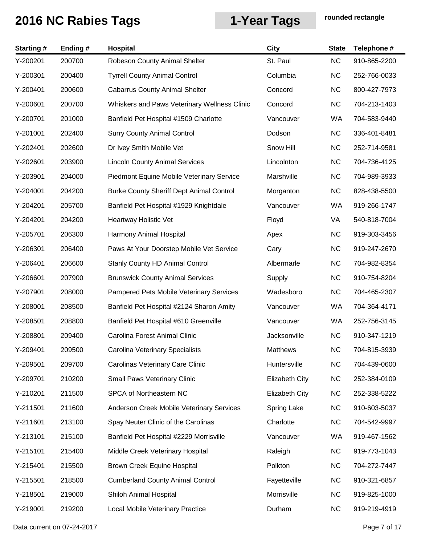| <b>Starting#</b> | Ending # | Hospital                                        | <b>City</b>           | <b>State</b> | Telephone #  |
|------------------|----------|-------------------------------------------------|-----------------------|--------------|--------------|
| Y-200201         | 200700   | Robeson County Animal Shelter                   | St. Paul              | <b>NC</b>    | 910-865-2200 |
| Y-200301         | 200400   | <b>Tyrrell County Animal Control</b>            | Columbia              | <b>NC</b>    | 252-766-0033 |
| Y-200401         | 200600   | <b>Cabarrus County Animal Shelter</b>           | Concord               | <b>NC</b>    | 800-427-7973 |
| Y-200601         | 200700   | Whiskers and Paws Veterinary Wellness Clinic    | Concord               | <b>NC</b>    | 704-213-1403 |
| Y-200701         | 201000   | Banfield Pet Hospital #1509 Charlotte           | Vancouver             | WA           | 704-583-9440 |
| Y-201001         | 202400   | <b>Surry County Animal Control</b>              | Dodson                | <b>NC</b>    | 336-401-8481 |
| Y-202401         | 202600   | Dr Ivey Smith Mobile Vet                        | Snow Hill             | <b>NC</b>    | 252-714-9581 |
| Y-202601         | 203900   | <b>Lincoln County Animal Services</b>           | Lincolnton            | <b>NC</b>    | 704-736-4125 |
| Y-203901         | 204000   | Piedmont Equine Mobile Veterinary Service       | Marshville            | <b>NC</b>    | 704-989-3933 |
| Y-204001         | 204200   | <b>Burke County Sheriff Dept Animal Control</b> | Morganton             | <b>NC</b>    | 828-438-5500 |
| Y-204201         | 205700   | Banfield Pet Hospital #1929 Knightdale          | Vancouver             | WA           | 919-266-1747 |
| Y-204201         | 204200   | Heartway Holistic Vet                           | Floyd                 | VA           | 540-818-7004 |
| Y-205701         | 206300   | Harmony Animal Hospital                         | Apex                  | <b>NC</b>    | 919-303-3456 |
| Y-206301         | 206400   | Paws At Your Doorstep Mobile Vet Service        | Cary                  | <b>NC</b>    | 919-247-2670 |
| Y-206401         | 206600   | Stanly County HD Animal Control                 | Albermarle            | <b>NC</b>    | 704-982-8354 |
| Y-206601         | 207900   | <b>Brunswick County Animal Services</b>         | Supply                | <b>NC</b>    | 910-754-8204 |
| Y-207901         | 208000   | Pampered Pets Mobile Veterinary Services        | Wadesboro             | <b>NC</b>    | 704-465-2307 |
| Y-208001         | 208500   | Banfield Pet Hospital #2124 Sharon Amity        | Vancouver             | WA           | 704-364-4171 |
| Y-208501         | 208800   | Banfield Pet Hospital #610 Greenville           | Vancouver             | WA           | 252-756-3145 |
| Y-208801         | 209400   | Carolina Forest Animal Clinic                   | Jacksonville          | <b>NC</b>    | 910-347-1219 |
| Y-209401         | 209500   | Carolina Veterinary Specialists                 | Matthews              | <b>NC</b>    | 704-815-3939 |
| Y-209501         | 209700   | Carolinas Veterinary Care Clinic                | Huntersville          | <b>NC</b>    | 704-439-0600 |
| Y-209701         | 210200   | Small Paws Veterinary Clinic                    | <b>Elizabeth City</b> | <b>NC</b>    | 252-384-0109 |
| Y-210201         | 211500   | SPCA of Northeastern NC                         | <b>Elizabeth City</b> | <b>NC</b>    | 252-338-5222 |
| Y-211501         | 211600   | Anderson Creek Mobile Veterinary Services       | Spring Lake           | <b>NC</b>    | 910-603-5037 |
| Y-211601         | 213100   | Spay Neuter Clinic of the Carolinas             | Charlotte             | <b>NC</b>    | 704-542-9997 |
| Y-213101         | 215100   | Banfield Pet Hospital #2229 Morrisville         | Vancouver             | WA           | 919-467-1562 |
| Y-215101         | 215400   | Middle Creek Veterinary Hospital                | Raleigh               | <b>NC</b>    | 919-773-1043 |
| Y-215401         | 215500   | Brown Creek Equine Hospital                     | Polkton               | <b>NC</b>    | 704-272-7447 |
| Y-215501         | 218500   | <b>Cumberland County Animal Control</b>         | Fayetteville          | <b>NC</b>    | 910-321-6857 |
| Y-218501         | 219000   | Shiloh Animal Hospital                          | Morrisville           | <b>NC</b>    | 919-825-1000 |
| Y-219001         | 219200   | Local Mobile Veterinary Practice                | Durham                | <b>NC</b>    | 919-219-4919 |
|                  |          |                                                 |                       |              |              |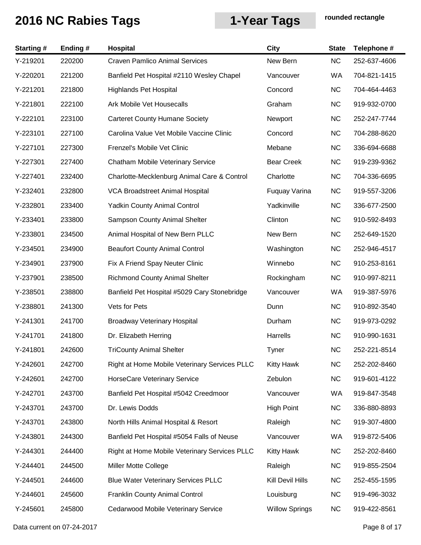| <b>Starting#</b> | Ending# | <b>Hospital</b>                               | <b>City</b>           | <b>State</b> | Telephone #  |
|------------------|---------|-----------------------------------------------|-----------------------|--------------|--------------|
| Y-219201         | 220200  | <b>Craven Pamlico Animal Services</b>         | New Bern              | <b>NC</b>    | 252-637-4606 |
| Y-220201         | 221200  | Banfield Pet Hospital #2110 Wesley Chapel     | Vancouver             | WA           | 704-821-1415 |
| Y-221201         | 221800  | <b>Highlands Pet Hospital</b>                 | Concord               | <b>NC</b>    | 704-464-4463 |
| Y-221801         | 222100  | Ark Mobile Vet Housecalls                     | Graham                | <b>NC</b>    | 919-932-0700 |
| Y-222101         | 223100  | <b>Carteret County Humane Society</b>         | Newport               | <b>NC</b>    | 252-247-7744 |
| Y-223101         | 227100  | Carolina Value Vet Mobile Vaccine Clinic      | Concord               | <b>NC</b>    | 704-288-8620 |
| Y-227101         | 227300  | Frenzel's Mobile Vet Clinic                   | Mebane                | <b>NC</b>    | 336-694-6688 |
| Y-227301         | 227400  | Chatham Mobile Veterinary Service             | <b>Bear Creek</b>     | <b>NC</b>    | 919-239-9362 |
| Y-227401         | 232400  | Charlotte-Mecklenburg Animal Care & Control   | Charlotte             | <b>NC</b>    | 704-336-6695 |
| Y-232401         | 232800  | <b>VCA Broadstreet Animal Hospital</b>        | Fuquay Varina         | <b>NC</b>    | 919-557-3206 |
| Y-232801         | 233400  | <b>Yadkin County Animal Control</b>           | Yadkinville           | <b>NC</b>    | 336-677-2500 |
| Y-233401         | 233800  | Sampson County Animal Shelter                 | Clinton               | <b>NC</b>    | 910-592-8493 |
| Y-233801         | 234500  | Animal Hospital of New Bern PLLC              | New Bern              | <b>NC</b>    | 252-649-1520 |
| Y-234501         | 234900  | <b>Beaufort County Animal Control</b>         | Washington            | <b>NC</b>    | 252-946-4517 |
| Y-234901         | 237900  | Fix A Friend Spay Neuter Clinic               | Winnebo               | <b>NC</b>    | 910-253-8161 |
| Y-237901         | 238500  | <b>Richmond County Animal Shelter</b>         | Rockingham            | <b>NC</b>    | 910-997-8211 |
| Y-238501         | 238800  | Banfield Pet Hospital #5029 Cary Stonebridge  | Vancouver             | <b>WA</b>    | 919-387-5976 |
| Y-238801         | 241300  | Vets for Pets                                 | Dunn                  | <b>NC</b>    | 910-892-3540 |
| Y-241301         | 241700  | <b>Broadway Veterinary Hospital</b>           | Durham                | <b>NC</b>    | 919-973-0292 |
| Y-241701         | 241800  | Dr. Elizabeth Herring                         | Harrells              | <b>NC</b>    | 910-990-1631 |
| Y-241801         | 242600  | <b>TriCounty Animal Shelter</b>               | Tyner                 | <b>NC</b>    | 252-221-8514 |
| Y-242601         | 242700  | Right at Home Mobile Veterinary Services PLLC | <b>Kitty Hawk</b>     | <b>NC</b>    | 252-202-8460 |
| Y-242601         | 242700  | <b>HorseCare Veterinary Service</b>           | Zebulon               | <b>NC</b>    | 919-601-4122 |
| Y-242701         | 243700  | Banfield Pet Hospital #5042 Creedmoor         | Vancouver             | WA           | 919-847-3548 |
| Y-243701         | 243700  | Dr. Lewis Dodds                               | <b>High Point</b>     | <b>NC</b>    | 336-880-8893 |
| Y-243701         | 243800  | North Hills Animal Hospital & Resort          | Raleigh               | <b>NC</b>    | 919-307-4800 |
| Y-243801         | 244300  | Banfield Pet Hospital #5054 Falls of Neuse    | Vancouver             | WA           | 919-872-5406 |
| Y-244301         | 244400  | Right at Home Mobile Veterinary Services PLLC | <b>Kitty Hawk</b>     | <b>NC</b>    | 252-202-8460 |
| Y-244401         | 244500  | Miller Motte College                          | Raleigh               | <b>NC</b>    | 919-855-2504 |
| Y-244501         | 244600  | <b>Blue Water Veterinary Services PLLC</b>    | Kill Devil Hills      | <b>NC</b>    | 252-455-1595 |
| Y-244601         | 245600  | <b>Franklin County Animal Control</b>         | Louisburg             | <b>NC</b>    | 919-496-3032 |
| Y-245601         | 245800  | Cedarwood Mobile Veterinary Service           | <b>Willow Springs</b> | <b>NC</b>    | 919-422-8561 |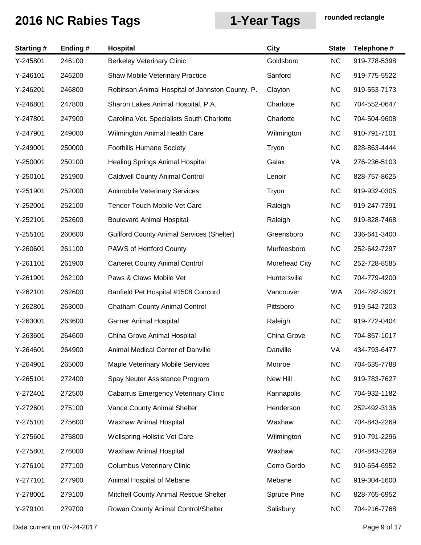| <b>Starting#</b> | Ending# | Hospital                                         | <b>City</b>   | <b>State</b> | Telephone #  |
|------------------|---------|--------------------------------------------------|---------------|--------------|--------------|
| Y-245801         | 246100  | <b>Berkeley Veterinary Clinic</b>                | Goldsboro     | <b>NC</b>    | 919-778-5398 |
| Y-246101         | 246200  | Shaw Mobile Veterinary Practice                  | Sanford       | <b>NC</b>    | 919-775-5522 |
| Y-246201         | 246800  | Robinson Animal Hospital of Johnston County, P.  | Clayton       | <b>NC</b>    | 919-553-7173 |
| Y-246801         | 247800  | Sharon Lakes Animal Hospital, P.A.               | Charlotte     | <b>NC</b>    | 704-552-0647 |
| Y-247801         | 247900  | Carolina Vet. Specialists South Charlotte        | Charlotte     | <b>NC</b>    | 704-504-9608 |
| Y-247901         | 249000  | Wilmington Animal Health Care                    | Wilmington    | <b>NC</b>    | 910-791-7101 |
| Y-249001         | 250000  | <b>Foothills Humane Society</b>                  | Tryon         | <b>NC</b>    | 828-863-4444 |
| Y-250001         | 250100  | <b>Healing Springs Animal Hospital</b>           | Galax         | VA           | 276-236-5103 |
| Y-250101         | 251900  | <b>Caldwell County Animal Control</b>            | Lenoir        | <b>NC</b>    | 828-757-8625 |
| Y-251901         | 252000  | <b>Animobile Veterinary Services</b>             | Tryon         | <b>NC</b>    | 919-932-0305 |
| Y-252001         | 252100  | Tender Touch Mobile Vet Care                     | Raleigh       | <b>NC</b>    | 919-247-7391 |
| Y-252101         | 252600  | <b>Boulevard Animal Hospital</b>                 | Raleigh       | <b>NC</b>    | 919-828-7468 |
| Y-255101         | 260600  | <b>Guilford County Animal Services (Shelter)</b> | Greensboro    | <b>NC</b>    | 336-641-3400 |
| Y-260601         | 261100  | <b>PAWS of Hertford County</b>                   | Murfeesboro   | <b>NC</b>    | 252-642-7297 |
| Y-261101         | 261900  | <b>Carteret County Animal Control</b>            | Morehead City | <b>NC</b>    | 252-728-8585 |
| Y-261901         | 262100  | Paws & Claws Mobile Vet                          | Huntersville  | <b>NC</b>    | 704-779-4200 |
| Y-262101         | 262600  | Banfield Pet Hospital #1508 Concord              | Vancouver     | WA           | 704-782-3921 |
| Y-262801         | 263000  | <b>Chatham County Animal Control</b>             | Pittsboro     | <b>NC</b>    | 919-542-7203 |
| Y-263001         | 263600  | <b>Garner Animal Hospital</b>                    | Raleigh       | <b>NC</b>    | 919-772-0404 |
| Y-263601         | 264600  | China Grove Animal Hospital                      | China Grove   | <b>NC</b>    | 704-857-1017 |
| Y-264601         | 264900  | Animal Medical Center of Danville                | Danville      | VA           | 434-793-6477 |
| Y-264901         | 265000  | Maple Veterinary Mobile Services                 | Monroe        | <b>NC</b>    | 704-635-7788 |
| Y-265101         | 272400  | Spay Neuter Assistance Program                   | New Hill      | <b>NC</b>    | 919-783-7627 |
| Y-272401         | 272500  | <b>Cabarrus Emergency Veterinary Clinic</b>      | Kannapolis    | <b>NC</b>    | 704-932-1182 |
| Y-272601         | 275100  | Vance County Animal Shelter                      | Henderson     | <b>NC</b>    | 252-492-3136 |
| Y-275101         | 275600  | Waxhaw Animal Hospital                           | Waxhaw        | <b>NC</b>    | 704-843-2269 |
| Y-275601         | 275800  | <b>Wellspring Holistic Vet Care</b>              | Wilmington    | <b>NC</b>    | 910-791-2296 |
| Y-275801         | 276000  | Waxhaw Animal Hospital                           | Waxhaw        | <b>NC</b>    | 704-843-2269 |
| Y-276101         | 277100  | <b>Columbus Veterinary Clinic</b>                | Cerro Gordo   | <b>NC</b>    | 910-654-6952 |
| Y-277101         | 277900  | Animal Hospital of Mebane                        | Mebane        | <b>NC</b>    | 919-304-1600 |
| Y-278001         | 279100  | Mitchell County Animal Rescue Shelter            | Spruce Pine   | <b>NC</b>    | 828-765-6952 |
| Y-279101         | 279700  | Rowan County Animal Control/Shelter              | Salisbury     | <b>NC</b>    | 704-216-7768 |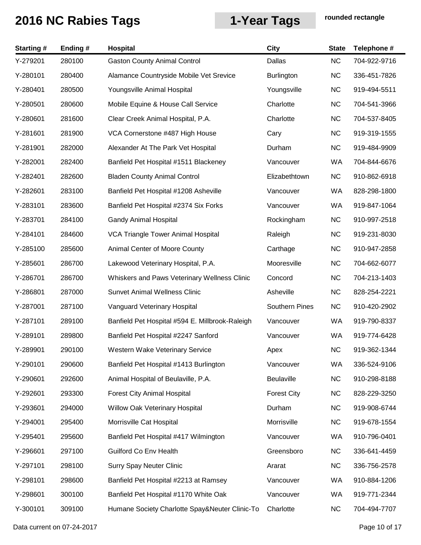| <b>Starting#</b> | Ending# | Hospital                                        | <b>City</b>        | <b>State</b> | Telephone #  |
|------------------|---------|-------------------------------------------------|--------------------|--------------|--------------|
| Y-279201         | 280100  | <b>Gaston County Animal Control</b>             | Dallas             | NC           | 704-922-9716 |
| Y-280101         | 280400  | Alamance Countryside Mobile Vet Srevice         | <b>Burlington</b>  | <b>NC</b>    | 336-451-7826 |
| Y-280401         | 280500  | Youngsville Animal Hospital                     | Youngsville        | <b>NC</b>    | 919-494-5511 |
| Y-280501         | 280600  | Mobile Equine & House Call Service              | Charlotte          | <b>NC</b>    | 704-541-3966 |
| Y-280601         | 281600  | Clear Creek Animal Hospital, P.A.               | Charlotte          | <b>NC</b>    | 704-537-8405 |
| Y-281601         | 281900  | VCA Cornerstone #487 High House                 | Cary               | <b>NC</b>    | 919-319-1555 |
| Y-281901         | 282000  | Alexander At The Park Vet Hospital              | Durham             | <b>NC</b>    | 919-484-9909 |
| Y-282001         | 282400  | Banfield Pet Hospital #1511 Blackeney           | Vancouver          | WA           | 704-844-6676 |
| Y-282401         | 282600  | <b>Bladen County Animal Control</b>             | Elizabethtown      | <b>NC</b>    | 910-862-6918 |
| Y-282601         | 283100  | Banfield Pet Hospital #1208 Asheville           | Vancouver          | WA           | 828-298-1800 |
| Y-283101         | 283600  | Banfield Pet Hospital #2374 Six Forks           | Vancouver          | WA           | 919-847-1064 |
| Y-283701         | 284100  | <b>Gandy Animal Hospital</b>                    | Rockingham         | <b>NC</b>    | 910-997-2518 |
| Y-284101         | 284600  | <b>VCA Triangle Tower Animal Hospital</b>       | Raleigh            | <b>NC</b>    | 919-231-8030 |
| Y-285100         | 285600  | Animal Center of Moore County                   | Carthage           | <b>NC</b>    | 910-947-2858 |
| Y-285601         | 286700  | Lakewood Veterinary Hospital, P.A.              | Mooresville        | <b>NC</b>    | 704-662-6077 |
| Y-286701         | 286700  | Whiskers and Paws Veterinary Wellness Clinic    | Concord            | <b>NC</b>    | 704-213-1403 |
| Y-286801         | 287000  | <b>Sunvet Animal Wellness Clinic</b>            | Asheville          | <b>NC</b>    | 828-254-2221 |
| Y-287001         | 287100  | Vanguard Veterinary Hospital                    | Southern Pines     | <b>NC</b>    | 910-420-2902 |
| Y-287101         | 289100  | Banfield Pet Hospital #594 E. Millbrook-Raleigh | Vancouver          | WA           | 919-790-8337 |
| Y-289101         | 289800  | Banfield Pet Hospital #2247 Sanford             | Vancouver          | WA           | 919-774-6428 |
| Y-289901         | 290100  | Western Wake Veterinary Service                 | Apex               | <b>NC</b>    | 919-362-1344 |
| Y-290101         | 290600  | Banfield Pet Hospital #1413 Burlington          | Vancouver          | WA           | 336-524-9106 |
| Y-290601         | 292600  | Animal Hospital of Beulaville, P.A.             | Beulaville         | <b>NC</b>    | 910-298-8188 |
| Y-292601         | 293300  | <b>Forest City Animal Hospital</b>              | <b>Forest City</b> | <b>NC</b>    | 828-229-3250 |
| Y-293601         | 294000  | Willow Oak Veterinary Hospital                  | Durham             | <b>NC</b>    | 919-908-6744 |
| Y-294001         | 295400  | Morrisville Cat Hospital                        | Morrisville        | <b>NC</b>    | 919-678-1554 |
| Y-295401         | 295600  | Banfield Pet Hospital #417 Wilmington           | Vancouver          | WA           | 910-796-0401 |
| Y-296601         | 297100  | <b>Guilford Co Env Health</b>                   | Greensboro         | <b>NC</b>    | 336-641-4459 |
| Y-297101         | 298100  | <b>Surry Spay Neuter Clinic</b>                 | Ararat             | <b>NC</b>    | 336-756-2578 |
| Y-298101         | 298600  | Banfield Pet Hospital #2213 at Ramsey           | Vancouver          | WA           | 910-884-1206 |
| Y-298601         | 300100  | Banfield Pet Hospital #1170 White Oak           | Vancouver          | WA           | 919-771-2344 |
| Y-300101         | 309100  | Humane Society Charlotte Spay&Neuter Clinic-To  | Charlotte          | <b>NC</b>    | 704-494-7707 |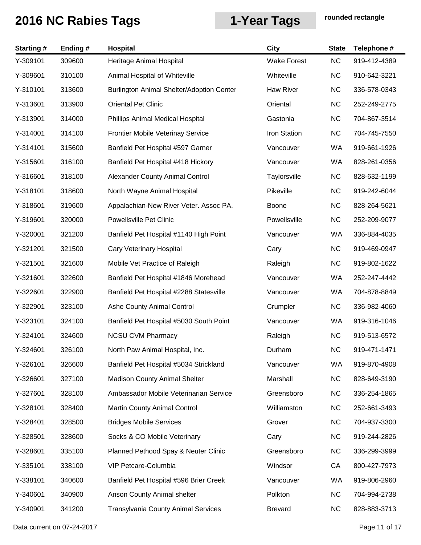| <b>Starting#</b> | Ending# | <b>Hospital</b>                            | City               | <b>State</b> | Telephone #  |
|------------------|---------|--------------------------------------------|--------------------|--------------|--------------|
| Y-309101         | 309600  | Heritage Animal Hospital                   | <b>Wake Forest</b> | NC           | 919-412-4389 |
| Y-309601         | 310100  | Animal Hospital of Whiteville              | Whiteville         | <b>NC</b>    | 910-642-3221 |
| Y-310101         | 313600  | Burlington Animal Shelter/Adoption Center  | <b>Haw River</b>   | <b>NC</b>    | 336-578-0343 |
| Y-313601         | 313900  | <b>Oriental Pet Clinic</b>                 | Oriental           | <b>NC</b>    | 252-249-2775 |
| Y-313901         | 314000  | Phillips Animal Medical Hospital           | Gastonia           | <b>NC</b>    | 704-867-3514 |
| Y-314001         | 314100  | Frontier Mobile Veterinay Service          | Iron Station       | <b>NC</b>    | 704-745-7550 |
| Y-314101         | 315600  | Banfield Pet Hospital #597 Garner          | Vancouver          | WA           | 919-661-1926 |
| Y-315601         | 316100  | Banfield Pet Hospital #418 Hickory         | Vancouver          | WA           | 828-261-0356 |
| Y-316601         | 318100  | Alexander County Animal Control            | Taylorsville       | <b>NC</b>    | 828-632-1199 |
| Y-318101         | 318600  | North Wayne Animal Hospital                | Pikeville          | <b>NC</b>    | 919-242-6044 |
| Y-318601         | 319600  | Appalachian-New River Veter. Assoc PA.     | Boone              | <b>NC</b>    | 828-264-5621 |
| Y-319601         | 320000  | <b>Powellsville Pet Clinic</b>             | Powellsville       | <b>NC</b>    | 252-209-9077 |
| Y-320001         | 321200  | Banfield Pet Hospital #1140 High Point     | Vancouver          | WA           | 336-884-4035 |
| Y-321201         | 321500  | Cary Veterinary Hospital                   | Cary               | <b>NC</b>    | 919-469-0947 |
| Y-321501         | 321600  | Mobile Vet Practice of Raleigh             | Raleigh            | <b>NC</b>    | 919-802-1622 |
| Y-321601         | 322600  | Banfield Pet Hospital #1846 Morehead       | Vancouver          | WA           | 252-247-4442 |
| Y-322601         | 322900  | Banfield Pet Hospital #2288 Statesville    | Vancouver          | WA           | 704-878-8849 |
| Y-322901         | 323100  | Ashe County Animal Control                 | Crumpler           | <b>NC</b>    | 336-982-4060 |
| Y-323101         | 324100  | Banfield Pet Hospital #5030 South Point    | Vancouver          | WA           | 919-316-1046 |
| Y-324101         | 324600  | <b>NCSU CVM Pharmacy</b>                   | Raleigh            | <b>NC</b>    | 919-513-6572 |
| Y-324601         | 326100  | North Paw Animal Hospital, Inc.            | Durham             | NC.          | 919-471-1471 |
| Y-326101         | 326600  | Banfield Pet Hospital #5034 Strickland     | Vancouver          | WA           | 919-870-4908 |
| Y-326601         | 327100  | <b>Madison County Animal Shelter</b>       | Marshall           | <b>NC</b>    | 828-649-3190 |
| Y-327601         | 328100  | Ambassador Mobile Veterinarian Service     | Greensboro         | <b>NC</b>    | 336-254-1865 |
| Y-328101         | 328400  | Martin County Animal Control               | Williamston        | <b>NC</b>    | 252-661-3493 |
| Y-328401         | 328500  | <b>Bridges Mobile Services</b>             | Grover             | <b>NC</b>    | 704-937-3300 |
| Y-328501         | 328600  | Socks & CO Mobile Veterinary               | Cary               | NC           | 919-244-2826 |
| Y-328601         | 335100  | Planned Pethood Spay & Neuter Clinic       | Greensboro         | NC           | 336-299-3999 |
| Y-335101         | 338100  | VIP Petcare-Columbia                       | Windsor            | CA           | 800-427-7973 |
| Y-338101         | 340600  | Banfield Pet Hospital #596 Brier Creek     | Vancouver          | WA           | 919-806-2960 |
| Y-340601         | 340900  | Anson County Animal shelter                | Polkton            | <b>NC</b>    | 704-994-2738 |
| Y-340901         | 341200  | <b>Transylvania County Animal Services</b> | <b>Brevard</b>     | NC           | 828-883-3713 |

Data current on 07-24-2017 **Page 11 of 17**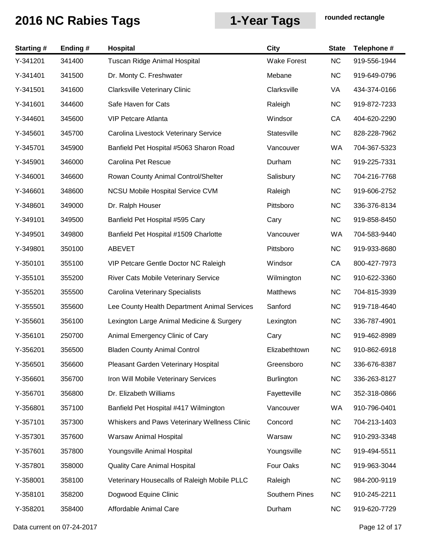| <b>Starting#</b> | Ending# | <b>Hospital</b>                              | <b>City</b>           | <b>State</b> | Telephone #  |
|------------------|---------|----------------------------------------------|-----------------------|--------------|--------------|
| Y-341201         | 341400  | Tuscan Ridge Animal Hospital                 | <b>Wake Forest</b>    | <b>NC</b>    | 919-556-1944 |
| Y-341401         | 341500  | Dr. Monty C. Freshwater                      | Mebane                | <b>NC</b>    | 919-649-0796 |
| Y-341501         | 341600  | <b>Clarksville Veterinary Clinic</b>         | Clarksville           | VA           | 434-374-0166 |
| Y-341601         | 344600  | Safe Haven for Cats                          | Raleigh               | <b>NC</b>    | 919-872-7233 |
| Y-344601         | 345600  | <b>VIP Petcare Atlanta</b>                   | Windsor               | CA           | 404-620-2290 |
| Y-345601         | 345700  | Carolina Livestock Veterinary Service        | Statesville           | <b>NC</b>    | 828-228-7962 |
| Y-345701         | 345900  | Banfield Pet Hospital #5063 Sharon Road      | Vancouver             | WA           | 704-367-5323 |
| Y-345901         | 346000  | Carolina Pet Rescue                          | Durham                | <b>NC</b>    | 919-225-7331 |
| Y-346001         | 346600  | Rowan County Animal Control/Shelter          | Salisbury             | <b>NC</b>    | 704-216-7768 |
| Y-346601         | 348600  | <b>NCSU Mobile Hospital Service CVM</b>      | Raleigh               | <b>NC</b>    | 919-606-2752 |
| Y-348601         | 349000  | Dr. Ralph Houser                             | Pittsboro             | <b>NC</b>    | 336-376-8134 |
| Y-349101         | 349500  | Banfield Pet Hospital #595 Cary              | Cary                  | <b>NC</b>    | 919-858-8450 |
| Y-349501         | 349800  | Banfield Pet Hospital #1509 Charlotte        | Vancouver             | <b>WA</b>    | 704-583-9440 |
| Y-349801         | 350100  | <b>ABEVET</b>                                | Pittsboro             | <b>NC</b>    | 919-933-8680 |
| Y-350101         | 355100  | VIP Petcare Gentle Doctor NC Raleigh         | Windsor               | CA           | 800-427-7973 |
| Y-355101         | 355200  | River Cats Mobile Veterinary Service         | Wilmington            | <b>NC</b>    | 910-622-3360 |
| Y-355201         | 355500  | Carolina Veterinary Specialists              | <b>Matthews</b>       | <b>NC</b>    | 704-815-3939 |
| Y-355501         | 355600  | Lee County Health Department Animal Services | Sanford               | <b>NC</b>    | 919-718-4640 |
| Y-355601         | 356100  | Lexington Large Animal Medicine & Surgery    | Lexington             | <b>NC</b>    | 336-787-4901 |
| Y-356101         | 250700  | Animal Emergency Clinic of Cary              | Cary                  | <b>NC</b>    | 919-462-8989 |
| Y-356201         | 356500  | <b>Bladen County Animal Control</b>          | Elizabethtown         | <b>NC</b>    | 910-862-6918 |
| Y-356501         | 356600  | Pleasant Garden Veterinary Hospital          | Greensboro            | <b>NC</b>    | 336-676-8387 |
| Y-356601         | 356700  | Iron Will Mobile Veterinary Services         | <b>Burlington</b>     | <b>NC</b>    | 336-263-8127 |
| Y-356701         | 356800  | Dr. Elizabeth Williams                       | Fayetteville          | <b>NC</b>    | 352-318-0866 |
| Y-356801         | 357100  | Banfield Pet Hospital #417 Wilmington        | Vancouver             | WA           | 910-796-0401 |
| Y-357101         | 357300  | Whiskers and Paws Veterinary Wellness Clinic | Concord               | <b>NC</b>    | 704-213-1403 |
| Y-357301         | 357600  | Warsaw Animal Hospital                       | Warsaw                | <b>NC</b>    | 910-293-3348 |
| Y-357601         | 357800  | Youngsville Animal Hospital                  | Youngsville           | <b>NC</b>    | 919-494-5511 |
| Y-357801         | 358000  | <b>Quality Care Animal Hospital</b>          | Four Oaks             | <b>NC</b>    | 919-963-3044 |
| Y-358001         | 358100  | Veterinary Housecalls of Raleigh Mobile PLLC | Raleigh               | <b>NC</b>    | 984-200-9119 |
| Y-358101         | 358200  | Dogwood Equine Clinic                        | <b>Southern Pines</b> | <b>NC</b>    | 910-245-2211 |
| Y-358201         | 358400  | Affordable Animal Care                       | Durham                | <b>NC</b>    | 919-620-7729 |

Data current on 07-24-2017 Page 12 of 17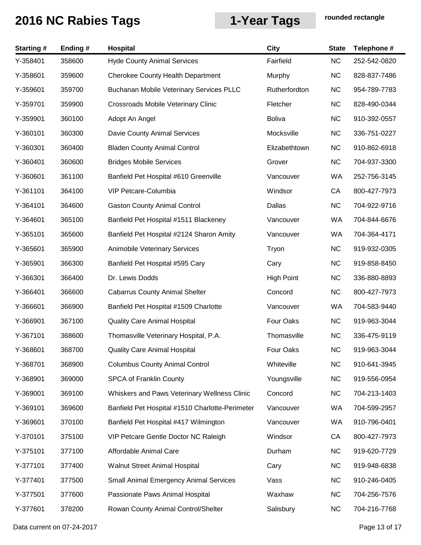| <b>Starting#</b> | Ending# | Hospital                                        | <b>City</b>       | <b>State</b> | Telephone #  |
|------------------|---------|-------------------------------------------------|-------------------|--------------|--------------|
| Y-358401         | 358600  | <b>Hyde County Animal Services</b>              | Fairfield         | <b>NC</b>    | 252-542-0820 |
| Y-358601         | 359600  | <b>Cherokee County Health Department</b>        | Murphy            | <b>NC</b>    | 828-837-7486 |
| Y-359601         | 359700  | <b>Buchanan Mobile Veterinary Services PLLC</b> | Rutherfordton     | <b>NC</b>    | 954-789-7783 |
| Y-359701         | 359900  | Crossroads Mobile Veterinary Clinic             | Fletcher          | <b>NC</b>    | 828-490-0344 |
| Y-359901         | 360100  | Adopt An Angel                                  | <b>Boliva</b>     | <b>NC</b>    | 910-392-0557 |
| Y-360101         | 360300  | Davie County Animal Services                    | Mocksville        | <b>NC</b>    | 336-751-0227 |
| Y-360301         | 360400  | <b>Bladen County Animal Control</b>             | Elizabethtown     | <b>NC</b>    | 910-862-6918 |
| Y-360401         | 360600  | <b>Bridges Mobile Services</b>                  | Grover            | <b>NC</b>    | 704-937-3300 |
| Y-360601         | 361100  | Banfield Pet Hospital #610 Greenville           | Vancouver         | <b>WA</b>    | 252-756-3145 |
| Y-361101         | 364100  | VIP Petcare-Columbia                            | Windsor           | CA           | 800-427-7973 |
| Y-364101         | 364600  | <b>Gaston County Animal Control</b>             | <b>Dallas</b>     | <b>NC</b>    | 704-922-9716 |
| Y-364601         | 365100  | Banfield Pet Hospital #1511 Blackeney           | Vancouver         | WA           | 704-844-6676 |
| Y-365101         | 365600  | Banfield Pet Hospital #2124 Sharon Amity        | Vancouver         | WA           | 704-364-4171 |
| Y-365601         | 365900  | Animobile Veterinary Services                   | Tryon             | <b>NC</b>    | 919-932-0305 |
| Y-365901         | 366300  | Banfield Pet Hospital #595 Cary                 | Cary              | <b>NC</b>    | 919-858-8450 |
| Y-366301         | 366400  | Dr. Lewis Dodds                                 | <b>High Point</b> | <b>NC</b>    | 336-880-8893 |
| Y-366401         | 366600  | <b>Cabarrus County Animal Shelter</b>           | Concord           | <b>NC</b>    | 800-427-7973 |
| Y-366601         | 366900  | Banfield Pet Hospital #1509 Charlotte           | Vancouver         | WA           | 704-583-9440 |
| Y-366901         | 367100  | <b>Quality Care Animal Hospital</b>             | Four Oaks         | <b>NC</b>    | 919-963-3044 |
| Y-367101         | 368600  | Thomasville Veterinary Hospital, P.A.           | Thomasville       | <b>NC</b>    | 336-475-9119 |
| Y-368601         | 368700  | <b>Quality Care Animal Hospital</b>             | Four Oaks         | <b>NC</b>    | 919-963-3044 |
| Y-368701         | 368900  | <b>Columbus County Animal Control</b>           | Whiteville        | <b>NC</b>    | 910-641-3945 |
| Y-368901         | 369000  | <b>SPCA of Franklin County</b>                  | Youngsville       | <b>NC</b>    | 919-556-0954 |
| Y-369001         | 369100  | Whiskers and Paws Veterinary Wellness Clinic    | Concord           | <b>NC</b>    | 704-213-1403 |
| Y-369101         | 369600  | Banfield Pet Hospital #1510 Charlotte-Perimeter | Vancouver         | WA           | 704-599-2957 |
| Y-369601         | 370100  | Banfield Pet Hospital #417 Wilmington           | Vancouver         | WA           | 910-796-0401 |
| Y-370101         | 375100  | VIP Petcare Gentle Doctor NC Raleigh            | Windsor           | CA           | 800-427-7973 |
| Y-375101         | 377100  | Affordable Animal Care                          | Durham            | <b>NC</b>    | 919-620-7729 |
| Y-377101         | 377400  | Walnut Street Animal Hospital                   | Cary              | <b>NC</b>    | 919-948-6838 |
| Y-377401         | 377500  | <b>Small Animal Emergency Animal Services</b>   | Vass              | <b>NC</b>    | 910-246-0405 |
| Y-377501         | 377600  | Passionate Paws Animal Hospital                 | Waxhaw            | <b>NC</b>    | 704-256-7576 |
| Y-377601         | 378200  | Rowan County Animal Control/Shelter             | Salisbury         | <b>NC</b>    | 704-216-7768 |

Data current on 07-24-2017 **Page 13 of 17**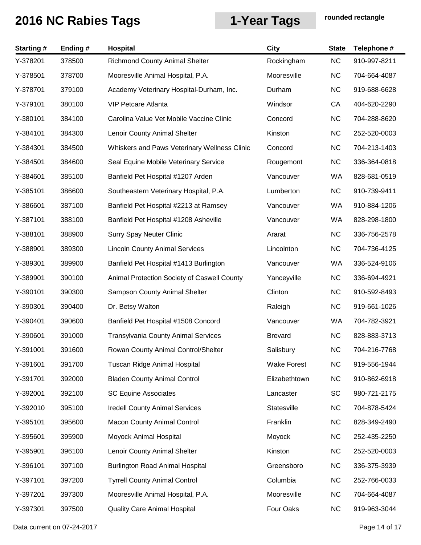| <b>Starting#</b> | Ending# | <b>Hospital</b>                              | <b>City</b>        | <b>State</b> | Telephone #  |
|------------------|---------|----------------------------------------------|--------------------|--------------|--------------|
| Y-378201         | 378500  | <b>Richmond County Animal Shelter</b>        | Rockingham         | <b>NC</b>    | 910-997-8211 |
| Y-378501         | 378700  | Mooresville Animal Hospital, P.A.            | Mooresville        | <b>NC</b>    | 704-664-4087 |
| Y-378701         | 379100  | Academy Veterinary Hospital-Durham, Inc.     | Durham             | <b>NC</b>    | 919-688-6628 |
| Y-379101         | 380100  | <b>VIP Petcare Atlanta</b>                   | Windsor            | CA           | 404-620-2290 |
| Y-380101         | 384100  | Carolina Value Vet Mobile Vaccine Clinic     | Concord            | <b>NC</b>    | 704-288-8620 |
| Y-384101         | 384300  | Lenoir County Animal Shelter                 | Kinston            | <b>NC</b>    | 252-520-0003 |
| Y-384301         | 384500  | Whiskers and Paws Veterinary Wellness Clinic | Concord            | <b>NC</b>    | 704-213-1403 |
| Y-384501         | 384600  | Seal Equine Mobile Veterinary Service        | Rougemont          | <b>NC</b>    | 336-364-0818 |
| Y-384601         | 385100  | Banfield Pet Hospital #1207 Arden            | Vancouver          | WA           | 828-681-0519 |
| Y-385101         | 386600  | Southeastern Veterinary Hospital, P.A.       | Lumberton          | <b>NC</b>    | 910-739-9411 |
| Y-386601         | 387100  | Banfield Pet Hospital #2213 at Ramsey        | Vancouver          | WA           | 910-884-1206 |
| Y-387101         | 388100  | Banfield Pet Hospital #1208 Asheville        | Vancouver          | WA           | 828-298-1800 |
| Y-388101         | 388900  | <b>Surry Spay Neuter Clinic</b>              | Ararat             | <b>NC</b>    | 336-756-2578 |
| Y-388901         | 389300  | <b>Lincoln County Animal Services</b>        | Lincolnton         | <b>NC</b>    | 704-736-4125 |
| Y-389301         | 389900  | Banfield Pet Hospital #1413 Burlington       | Vancouver          | WA           | 336-524-9106 |
| Y-389901         | 390100  | Animal Protection Society of Caswell County  | Yanceyville        | <b>NC</b>    | 336-694-4921 |
| Y-390101         | 390300  | Sampson County Animal Shelter                | Clinton            | <b>NC</b>    | 910-592-8493 |
| Y-390301         | 390400  | Dr. Betsy Walton                             | Raleigh            | <b>NC</b>    | 919-661-1026 |
| Y-390401         | 390600  | Banfield Pet Hospital #1508 Concord          | Vancouver          | WA           | 704-782-3921 |
| Y-390601         | 391000  | <b>Transylvania County Animal Services</b>   | <b>Brevard</b>     | <b>NC</b>    | 828-883-3713 |
| Y-391001         | 391600  | Rowan County Animal Control/Shelter          | Salisbury          | <b>NC</b>    | 704-216-7768 |
| Y-391601         | 391700  | Tuscan Ridge Animal Hospital                 | <b>Wake Forest</b> | <b>NC</b>    | 919-556-1944 |
| Y-391701         | 392000  | <b>Bladen County Animal Control</b>          | Elizabethtown      | <b>NC</b>    | 910-862-6918 |
| Y-392001         | 392100  | <b>SC Equine Associates</b>                  | Lancaster          | <b>SC</b>    | 980-721-2175 |
| Y-392010         | 395100  | <b>Iredell County Animal Services</b>        | Statesville        | <b>NC</b>    | 704-878-5424 |
| Y-395101         | 395600  | <b>Macon County Animal Control</b>           | Franklin           | <b>NC</b>    | 828-349-2490 |
| Y-395601         | 395900  | Moyock Animal Hospital                       | Moyock             | <b>NC</b>    | 252-435-2250 |
| Y-395901         | 396100  | Lenoir County Animal Shelter                 | Kinston            | <b>NC</b>    | 252-520-0003 |
| Y-396101         | 397100  | <b>Burlington Road Animal Hospital</b>       | Greensboro         | <b>NC</b>    | 336-375-3939 |
| Y-397101         | 397200  | <b>Tyrrell County Animal Control</b>         | Columbia           | <b>NC</b>    | 252-766-0033 |
| Y-397201         | 397300  | Mooresville Animal Hospital, P.A.            | Mooresville        | <b>NC</b>    | 704-664-4087 |
| Y-397301         | 397500  | <b>Quality Care Animal Hospital</b>          | Four Oaks          | <b>NC</b>    | 919-963-3044 |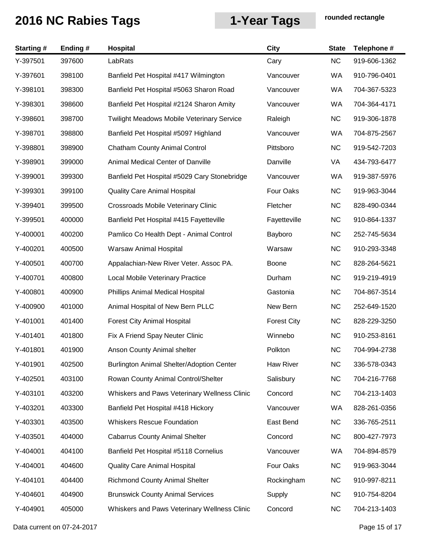| <b>Starting#</b> | Ending# | Hospital                                          | <b>City</b>        | <b>State</b> | Telephone #  |
|------------------|---------|---------------------------------------------------|--------------------|--------------|--------------|
| Y-397501         | 397600  | LabRats                                           | Cary               | <b>NC</b>    | 919-606-1362 |
| Y-397601         | 398100  | Banfield Pet Hospital #417 Wilmington             | Vancouver          | WA           | 910-796-0401 |
| Y-398101         | 398300  | Banfield Pet Hospital #5063 Sharon Road           | Vancouver          | WA           | 704-367-5323 |
| Y-398301         | 398600  | Banfield Pet Hospital #2124 Sharon Amity          | Vancouver          | WA           | 704-364-4171 |
| Y-398601         | 398700  | <b>Twilight Meadows Mobile Veterinary Service</b> | Raleigh            | <b>NC</b>    | 919-306-1878 |
| Y-398701         | 398800  | Banfield Pet Hospital #5097 Highland              | Vancouver          | <b>WA</b>    | 704-875-2567 |
| Y-398801         | 398900  | <b>Chatham County Animal Control</b>              | Pittsboro          | <b>NC</b>    | 919-542-7203 |
| Y-398901         | 399000  | Animal Medical Center of Danville                 | Danville           | VA           | 434-793-6477 |
| Y-399001         | 399300  | Banfield Pet Hospital #5029 Cary Stonebridge      | Vancouver          | WA           | 919-387-5976 |
| Y-399301         | 399100  | <b>Quality Care Animal Hospital</b>               | Four Oaks          | <b>NC</b>    | 919-963-3044 |
| Y-399401         | 399500  | Crossroads Mobile Veterinary Clinic               | Fletcher           | <b>NC</b>    | 828-490-0344 |
| Y-399501         | 400000  | Banfield Pet Hospital #415 Fayetteville           | Fayetteville       | <b>NC</b>    | 910-864-1337 |
| Y-400001         | 400200  | Pamlico Co Health Dept - Animal Control           | Bayboro            | <b>NC</b>    | 252-745-5634 |
| Y-400201         | 400500  | Warsaw Animal Hospital                            | Warsaw             | <b>NC</b>    | 910-293-3348 |
| Y-400501         | 400700  | Appalachian-New River Veter. Assoc PA.            | <b>Boone</b>       | <b>NC</b>    | 828-264-5621 |
| Y-400701         | 400800  | Local Mobile Veterinary Practice                  | Durham             | <b>NC</b>    | 919-219-4919 |
| Y-400801         | 400900  | <b>Phillips Animal Medical Hospital</b>           | Gastonia           | <b>NC</b>    | 704-867-3514 |
| Y-400900         | 401000  | Animal Hospital of New Bern PLLC                  | New Bern           | <b>NC</b>    | 252-649-1520 |
| Y-401001         | 401400  | <b>Forest City Animal Hospital</b>                | <b>Forest City</b> | <b>NC</b>    | 828-229-3250 |
| Y-401401         | 401800  | Fix A Friend Spay Neuter Clinic                   | Winnebo            | <b>NC</b>    | 910-253-8161 |
| Y-401801         | 401900  | Anson County Animal shelter                       | Polkton            | <b>NC</b>    | 704-994-2738 |
| Y-401901         | 402500  | Burlington Animal Shelter/Adoption Center         | Haw River          | <b>NC</b>    | 336-578-0343 |
| Y-402501         | 403100  | Rowan County Animal Control/Shelter               | Salisbury          | <b>NC</b>    | 704-216-7768 |
| Y-403101         | 403200  | Whiskers and Paws Veterinary Wellness Clinic      | Concord            | <b>NC</b>    | 704-213-1403 |
| Y-403201         | 403300  | Banfield Pet Hospital #418 Hickory                | Vancouver          | WA           | 828-261-0356 |
| Y-403301         | 403500  | <b>Whiskers Rescue Foundation</b>                 | East Bend          | <b>NC</b>    | 336-765-2511 |
| Y-403501         | 404000  | <b>Cabarrus County Animal Shelter</b>             | Concord            | <b>NC</b>    | 800-427-7973 |
| Y-404001         | 404100  | Banfield Pet Hospital #5118 Cornelius             | Vancouver          | WA           | 704-894-8579 |
| Y-404001         | 404600  | <b>Quality Care Animal Hospital</b>               | Four Oaks          | <b>NC</b>    | 919-963-3044 |
| Y-404101         | 404400  | <b>Richmond County Animal Shelter</b>             | Rockingham         | <b>NC</b>    | 910-997-8211 |
| Y-404601         | 404900  | <b>Brunswick County Animal Services</b>           | Supply             | <b>NC</b>    | 910-754-8204 |
| Y-404901         | 405000  | Whiskers and Paws Veterinary Wellness Clinic      | Concord            | <b>NC</b>    | 704-213-1403 |
|                  |         |                                                   |                    |              |              |

Data current on 07-24-2017 **Page 15 of 17**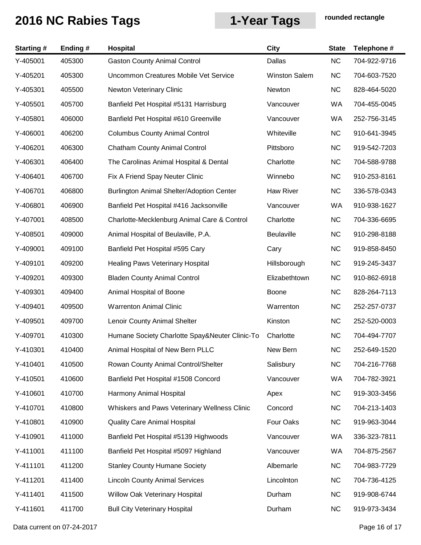| <b>Starting#</b> | Ending# | <b>Hospital</b>                                | <b>City</b>          | <b>State</b> | Telephone #  |
|------------------|---------|------------------------------------------------|----------------------|--------------|--------------|
| Y-405001         | 405300  | <b>Gaston County Animal Control</b>            | Dallas               | <b>NC</b>    | 704-922-9716 |
| Y-405201         | 405300  | Uncommon Creatures Mobile Vet Service          | <b>Winston Salem</b> | <b>NC</b>    | 704-603-7520 |
| Y-405301         | 405500  | Newton Veterinary Clinic                       | Newton               | <b>NC</b>    | 828-464-5020 |
| Y-405501         | 405700  | Banfield Pet Hospital #5131 Harrisburg         | Vancouver            | WA           | 704-455-0045 |
| Y-405801         | 406000  | Banfield Pet Hospital #610 Greenville          | Vancouver            | <b>WA</b>    | 252-756-3145 |
| Y-406001         | 406200  | <b>Columbus County Animal Control</b>          | Whiteville           | <b>NC</b>    | 910-641-3945 |
| Y-406201         | 406300  | <b>Chatham County Animal Control</b>           | Pittsboro            | <b>NC</b>    | 919-542-7203 |
| Y-406301         | 406400  | The Carolinas Animal Hospital & Dental         | Charlotte            | <b>NC</b>    | 704-588-9788 |
| Y-406401         | 406700  | Fix A Friend Spay Neuter Clinic                | Winnebo              | <b>NC</b>    | 910-253-8161 |
| Y-406701         | 406800  | Burlington Animal Shelter/Adoption Center      | <b>Haw River</b>     | <b>NC</b>    | 336-578-0343 |
| Y-406801         | 406900  | Banfield Pet Hospital #416 Jacksonville        | Vancouver            | WA           | 910-938-1627 |
| Y-407001         | 408500  | Charlotte-Mecklenburg Animal Care & Control    | Charlotte            | <b>NC</b>    | 704-336-6695 |
| Y-408501         | 409000  | Animal Hospital of Beulaville, P.A.            | <b>Beulaville</b>    | <b>NC</b>    | 910-298-8188 |
| Y-409001         | 409100  | Banfield Pet Hospital #595 Cary                | Cary                 | <b>NC</b>    | 919-858-8450 |
| Y-409101         | 409200  | <b>Healing Paws Veterinary Hospital</b>        | Hillsborough         | <b>NC</b>    | 919-245-3437 |
| Y-409201         | 409300  | <b>Bladen County Animal Control</b>            | Elizabethtown        | <b>NC</b>    | 910-862-6918 |
| Y-409301         | 409400  | Animal Hospital of Boone                       | <b>Boone</b>         | <b>NC</b>    | 828-264-7113 |
| Y-409401         | 409500  | <b>Warrenton Animal Clinic</b>                 | Warrenton            | <b>NC</b>    | 252-257-0737 |
| Y-409501         | 409700  | Lenoir County Animal Shelter                   | Kinston              | <b>NC</b>    | 252-520-0003 |
| Y-409701         | 410300  | Humane Society Charlotte Spay&Neuter Clinic-To | Charlotte            | <b>NC</b>    | 704-494-7707 |
| Y-410301         | 410400  | Animal Hospital of New Bern PLLC               | New Bern             | <b>NC</b>    | 252-649-1520 |
| Y-410401         | 410500  | Rowan County Animal Control/Shelter            | Salisbury            | <b>NC</b>    | 704-216-7768 |
| Y-410501         | 410600  | Banfield Pet Hospital #1508 Concord            | Vancouver            | WA           | 704-782-3921 |
| Y-410601         | 410700  | Harmony Animal Hospital                        | Apex                 | <b>NC</b>    | 919-303-3456 |
| Y-410701         | 410800  | Whiskers and Paws Veterinary Wellness Clinic   | Concord              | <b>NC</b>    | 704-213-1403 |
| Y-410801         | 410900  | <b>Quality Care Animal Hospital</b>            | Four Oaks            | <b>NC</b>    | 919-963-3044 |
| Y-410901         | 411000  | Banfield Pet Hospital #5139 Highwoods          | Vancouver            | WA           | 336-323-7811 |
| Y-411001         | 411100  | Banfield Pet Hospital #5097 Highland           | Vancouver            | WA           | 704-875-2567 |
| Y-411101         | 411200  | <b>Stanley County Humane Society</b>           | Albemarle            | <b>NC</b>    | 704-983-7729 |
| Y-411201         | 411400  | <b>Lincoln County Animal Services</b>          | Lincolnton           | <b>NC</b>    | 704-736-4125 |
| Y-411401         | 411500  | Willow Oak Veterinary Hospital                 | Durham               | <b>NC</b>    | 919-908-6744 |
| Y-411601         | 411700  | <b>Bull City Veterinary Hospital</b>           | Durham               | <b>NC</b>    | 919-973-3434 |